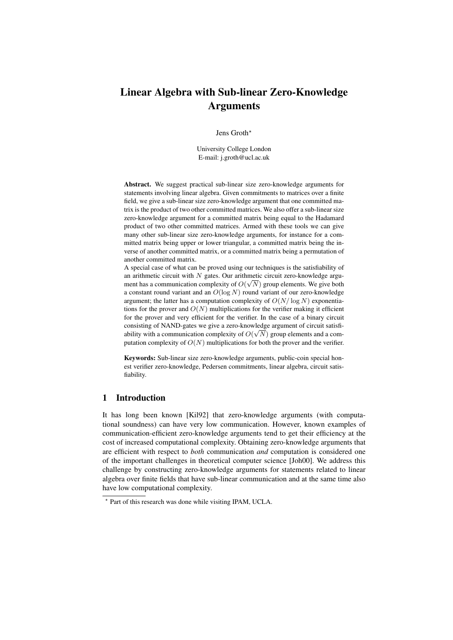# Linear Algebra with Sub-linear Zero-Knowledge Arguments

Jens Groth?

University College London E-mail: j.groth@ucl.ac.uk

Abstract. We suggest practical sub-linear size zero-knowledge arguments for statements involving linear algebra. Given commitments to matrices over a finite field, we give a sub-linear size zero-knowledge argument that one committed matrix is the product of two other committed matrices. We also offer a sub-linear size zero-knowledge argument for a committed matrix being equal to the Hadamard product of two other committed matrices. Armed with these tools we can give many other sub-linear size zero-knowledge arguments, for instance for a committed matrix being upper or lower triangular, a committed matrix being the inverse of another committed matrix, or a committed matrix being a permutation of another committed matrix.

A special case of what can be proved using our techniques is the satisfiability of an arithmetic circuit with  $N$  gates. Our arithmetic circuit zero-knowledge argument has a communication complexity of  $O(\sqrt{N})$  group elements. We give both a constant round variant and an  $O(\log N)$  round variant of our zero-knowledge argument; the latter has a computation complexity of  $O(N/\log N)$  exponentiations for the prover and  $O(N)$  multiplications for the verifier making it efficient for the prover and very efficient for the verifier. In the case of a binary circuit consisting of NAND-gates we give a zero-knowledge argument of circuit satisfi-√ ability with a communication complexity of  $O(\sqrt{N})$  group elements and a computation complexity of  $O(N)$  multiplications for both the prover and the verifier.

Keywords: Sub-linear size zero-knowledge arguments, public-coin special honest verifier zero-knowledge, Pedersen commitments, linear algebra, circuit satisfiability.

### 1 Introduction

It has long been known [Kil92] that zero-knowledge arguments (with computational soundness) can have very low communication. However, known examples of communication-efficient zero-knowledge arguments tend to get their efficiency at the cost of increased computational complexity. Obtaining zero-knowledge arguments that are efficient with respect to *both* communication *and* computation is considered one of the important challenges in theoretical computer science [Joh00]. We address this challenge by constructing zero-knowledge arguments for statements related to linear algebra over finite fields that have sub-linear communication and at the same time also have low computational complexity.

<sup>?</sup> Part of this research was done while visiting IPAM, UCLA.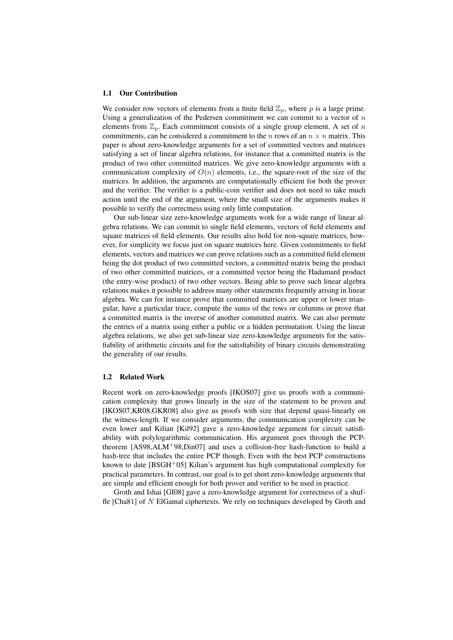#### 1.1 Our Contribution

We consider row vectors of elements from a finite field  $\mathbb{Z}_p$ , where p is a large prime. Using a generalization of the Pedersen commitment we can commit to a vector of  $n$ elements from  $\mathbb{Z}_p$ . Each commitment consists of a single group element. A set of n commitments, can be considered a commitment to the n rows of an  $n \times n$  matrix. This paper is about zero-knowledge arguments for a set of committed vectors and matrices satisfying a set of linear algebra relations, for instance that a committed matrix is the product of two other committed matrices. We give zero-knowledge arguments with a communication complexity of  $O(n)$  elements, i.e., the square-root of the size of the matrices. In addition, the arguments are computationally efficient for both the prover and the verifier. The verifier is a public-coin verifier and does not need to take much action until the end of the argument, where the small size of the arguments makes it possible to verify the correctness using only little computation.

Our sub-linear size zero-knowledge arguments work for a wide range of linear algebra relations. We can commit to single field elements, vectors of field elements and square matrices of field elements. Our results also hold for non-square matrices, however, for simplicity we focus just on square matrices here. Given commitments to field elements, vectors and matrices we can prove relations such as a committed field element being the dot product of two committed vectors, a committed matrix being the product of two other committed matrices, or a committed vector being the Hadamard product (the entry-wise product) of two other vectors. Being able to prove such linear algebra relations makes it possible to address many other statements frequently arising in linear algebra. We can for instance prove that committed matrices are upper or lower triangular, have a particular trace, compute the sums of the rows or columns or prove that a committed matrix is the inverse of another committed matrix. We can also permute the entries of a matrix using either a public or a hidden permutation. Using the linear algebra relations, we also get sub-linear size zero-knowledge arguments for the satisfiability of arithmetic circuits and for the satisfiability of binary circuits demonstrating the generality of our results.

#### 1.2 Related Work

Recent work on zero-knowledge proofs [IKOS07] give us proofs with a communication complexity that grows linearly in the size of the statement to be proven and [IKOS07,KR08,GKR08] also give us proofs with size that depend quasi-linearly on the witness-length. If we consider arguments, the communication complexity can be even lower and Kilian [Kil92] gave a zero-knowledge argument for circuit satisfiability with polylogarithmic communication. His argument goes through the PCPtheorem  $[AS98, ALM+98, Din07]$  and uses a collision-free hash-function to build a hash-tree that includes the entire PCP though. Even with the best PCP constructions known to date  $[BSGH<sup>+</sup>05]$  Kilian's argument has high computational complexity for practical parameters. In contrast, our goal is to get short zero-knowledge arguments that are simple and efficient enough for both prover and verifier to be used in practice.

Groth and Ishai [GI08] gave a zero-knowledge argument for correctness of a shuffle [Cha81] of N ElGamal ciphertexts. We rely on techniques developed by Groth and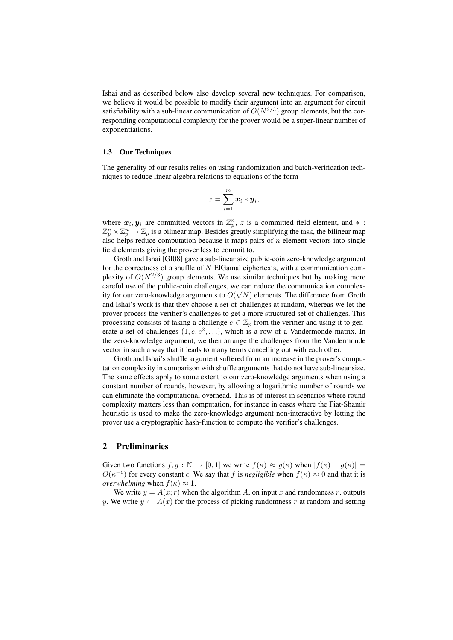Ishai and as described below also develop several new techniques. For comparison, we believe it would be possible to modify their argument into an argument for circuit satisfiability with a sub-linear communication of  $O(N^{2/3})$  group elements, but the corresponding computational complexity for the prover would be a super-linear number of exponentiations.

#### 1.3 Our Techniques

The generality of our results relies on using randomization and batch-verification techniques to reduce linear algebra relations to equations of the form

$$
z=\sum_{i=1}^m x_i*y_i,
$$

where  $x_i, y_i$  are committed vectors in  $\mathbb{Z}_p^n$ , z is a committed field element, and  $*$ :  $\mathbb{Z}_p^n \times \mathbb{Z}_p^n \to \mathbb{Z}_p$  is a bilinear map. Besides greatly simplifying the task, the bilinear map also helps reduce computation because it maps pairs of  $n$ -element vectors into single field elements giving the prover less to commit to.

Groth and Ishai [GI08] gave a sub-linear size public-coin zero-knowledge argument for the correctness of a shuffle of  $N$  ElGamal ciphertexts, with a communication complexity of  $O(N^{2/3})$  group elements. We use similar techniques but by making more careful use of the public-coin challenges, we can reduce the communication complex-√ ity for our zero-knowledge arguments to  $O(\sqrt{N})$  elements. The difference from Groth and Ishai's work is that they choose a set of challenges at random, whereas we let the prover process the verifier's challenges to get a more structured set of challenges. This processing consists of taking a challenge  $e \in \mathbb{Z}_p$  from the verifier and using it to generate a set of challenges  $(1, e, e^2, \ldots)$ , which is a row of a Vandermonde matrix. In the zero-knowledge argument, we then arrange the challenges from the Vandermonde vector in such a way that it leads to many terms cancelling out with each other.

Groth and Ishai's shuffle argument suffered from an increase in the prover's computation complexity in comparison with shuffle arguments that do not have sub-linear size. The same effects apply to some extent to our zero-knowledge arguments when using a constant number of rounds, however, by allowing a logarithmic number of rounds we can eliminate the computational overhead. This is of interest in scenarios where round complexity matters less than computation, for instance in cases where the Fiat-Shamir heuristic is used to make the zero-knowledge argument non-interactive by letting the prover use a cryptographic hash-function to compute the verifier's challenges.

# 2 Preliminaries

Given two functions  $f, g : \mathbb{N} \to [0, 1]$  we write  $f(\kappa) \approx g(\kappa)$  when  $|f(\kappa) - g(\kappa)| =$  $O(\kappa^{-c})$  for every constant c. We say that f is *negligible* when  $f(\kappa) \approx 0$  and that it is *overwhelming* when  $f(\kappa) \approx 1$ .

We write  $y = A(x; r)$  when the algorithm A, on input x and randomness r, outputs y. We write  $y \leftarrow A(x)$  for the process of picking randomness r at random and setting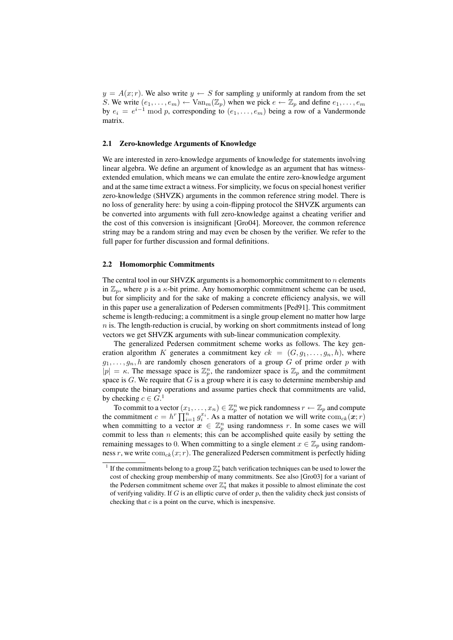$y = A(x; r)$ . We also write  $y \leftarrow S$  for sampling y uniformly at random from the set S. We write  $(e_1, \ldots, e_m) \leftarrow \text{Van}_m(\mathbb{Z}_p)$  when we pick  $e \leftarrow \mathbb{Z}_p$  and define  $e_1, \ldots, e_m$ by  $e_i = e^{i-1} \bmod p$ , corresponding to  $(e_1, \ldots, e_m)$  being a row of a Vandermonde matrix.

#### 2.1 Zero-knowledge Arguments of Knowledge

We are interested in zero-knowledge arguments of knowledge for statements involving linear algebra. We define an argument of knowledge as an argument that has witnessextended emulation, which means we can emulate the entire zero-knowledge argument and at the same time extract a witness. For simplicity, we focus on special honest verifier zero-knowledge (SHVZK) arguments in the common reference string model. There is no loss of generality here: by using a coin-flipping protocol the SHVZK arguments can be converted into arguments with full zero-knowledge against a cheating verifier and the cost of this conversion is insignificant [Gro04]. Moreover, the common reference string may be a random string and may even be chosen by the verifier. We refer to the full paper for further discussion and formal definitions.

#### 2.2 Homomorphic Commitments

The central tool in our SHVZK arguments is a homomorphic commitment to  $n$  elements in  $\mathbb{Z}_p$ , where p is a  $\kappa$ -bit prime. Any homomorphic commitment scheme can be used, but for simplicity and for the sake of making a concrete efficiency analysis, we will in this paper use a generalization of Pedersen commitments [Ped91]. This commitment scheme is length-reducing; a commitment is a single group element no matter how large  $n$  is. The length-reduction is crucial, by working on short commitments instead of long vectors we get SHVZK arguments with sub-linear communication complexity.

The generalized Pedersen commitment scheme works as follows. The key generation algorithm K generates a commitment key  $ck = (G, g_1, \ldots, g_n, h)$ , where  $g_1, \ldots, g_n, h$  are randomly chosen generators of a group G of prime order p with  $|p| = \kappa$ . The message space is  $\mathbb{Z}_p^n$ , the randomizer space is  $\mathbb{Z}_p$  and the commitment space is  $G$ . We require that  $G$  is a group where it is easy to determine membership and compute the binary operations and assume parties check that commitments are valid, by checking  $c \in G^1$ .

To commit to a vector  $(x_1, \ldots, x_n) \in \mathbb{Z}_p^n$  we pick randomness  $r \leftarrow \mathbb{Z}_p$  and compute the commitment  $c = h^r \prod_{i=1}^n g_i^{x_i}$ . As a matter of notation we will write  $\text{com}_{ck}(\vec{x}; r)$ when committing to a vector  $x \in \mathbb{Z}_p^n$  using randomness r. In some cases we will commit to less than  $n$  elements; this can be accomplished quite easily by setting the remaining messages to 0. When committing to a single element  $x \in \mathbb{Z}_p$  using randomness r, we write  $com_{ck}(x; r)$ . The generalized Pedersen commitment is perfectly hiding

<sup>&</sup>lt;sup>1</sup> If the commitments belong to a group  $\mathbb{Z}_q^*$  batch verification techniques can be used to lower the cost of checking group membership of many commitments. See also [Gro03] for a variant of the Pedersen commitment scheme over  $\mathbb{Z}_q^*$  that makes it possible to almost eliminate the cost of verifying validity. If  $G$  is an elliptic curve of order  $p$ , then the validity check just consists of checking that  $c$  is a point on the curve, which is inexpensive.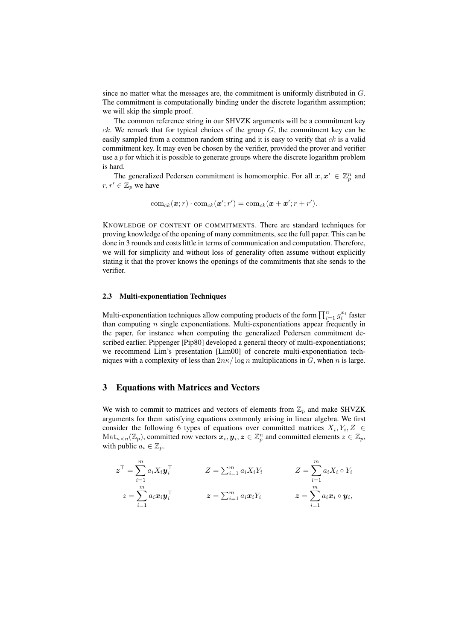since no matter what the messages are, the commitment is uniformly distributed in G. The commitment is computationally binding under the discrete logarithm assumption; we will skip the simple proof.

The common reference string in our SHVZK arguments will be a commitment key  $ck$ . We remark that for typical choices of the group  $G$ , the commitment key can be easily sampled from a common random string and it is easy to verify that  $ck$  is a valid commitment key. It may even be chosen by the verifier, provided the prover and verifier use a  $p$  for which it is possible to generate groups where the discrete logarithm problem is hard.

The generalized Pedersen commitment is homomorphic. For all  $x, x' \in \mathbb{Z}_p^n$  and  $r, r' \in \mathbb{Z}_p$  we have

$$
\mathrm{com}_{ck}(\boldsymbol{x};r) \cdot \mathrm{com}_{ck}(\boldsymbol{x}';r') = \mathrm{com}_{ck}(\boldsymbol{x} + \boldsymbol{x}';r + r').
$$

KNOWLEDGE OF CONTENT OF COMMITMENTS. There are standard techniques for proving knowledge of the opening of many commitments, see the full paper. This can be done in 3 rounds and costs little in terms of communication and computation. Therefore, we will for simplicity and without loss of generality often assume without explicitly stating it that the prover knows the openings of the commitments that she sends to the verifier.

#### 2.3 Multi-exponentiation Techniques

Multi-exponentiation techniques allow computing products of the form  $\prod_{i=1}^n g_i^{x_i}$  faster than computing  $n$  single exponentiations. Multi-exponentiations appear frequently in the paper, for instance when computing the generalized Pedersen commitment described earlier. Pippenger [Pip80] developed a general theory of multi-exponentiations; we recommend Lim's presentation [Lim00] of concrete multi-exponentiation techniques with a complexity of less than  $2n\kappa/\log n$  multiplications in G, when n is large.

### 3 Equations with Matrices and Vectors

We wish to commit to matrices and vectors of elements from  $\mathbb{Z}_p$  and make SHVZK arguments for them satisfying equations commonly arising in linear algebra. We first consider the following 6 types of equations over committed matrices  $X_i, Y_i, Z \in$  $\mathrm{Mat}_{n\times n}(\mathbb{Z}_p)$ , committed row vectors  $\boldsymbol{x}_i, \boldsymbol{y}_i, \boldsymbol{z}\in\mathbb{Z}_p^n$  and committed elements  $z\in\mathbb{Z}_p$ , with public  $a_i \in \mathbb{Z}_p$ .

$$
\boldsymbol{z}^{\top} = \sum_{i=1}^{m} a_i X_i \boldsymbol{y}_i^{\top} \qquad \qquad \boldsymbol{Z} = \sum_{i=1}^{m} a_i X_i Y_i \qquad \qquad \boldsymbol{Z} = \sum_{i=1}^{m} a_i X_i \circ Y_i
$$
\n
$$
\boldsymbol{z} = \sum_{i=1}^{m} a_i \boldsymbol{x}_i \boldsymbol{y}_i^{\top} \qquad \qquad \boldsymbol{z} = \sum_{i=1}^{m} a_i \boldsymbol{x}_i Y_i \qquad \qquad \boldsymbol{z} = \sum_{i=1}^{m} a_i \boldsymbol{x}_i \circ \boldsymbol{y}_i,
$$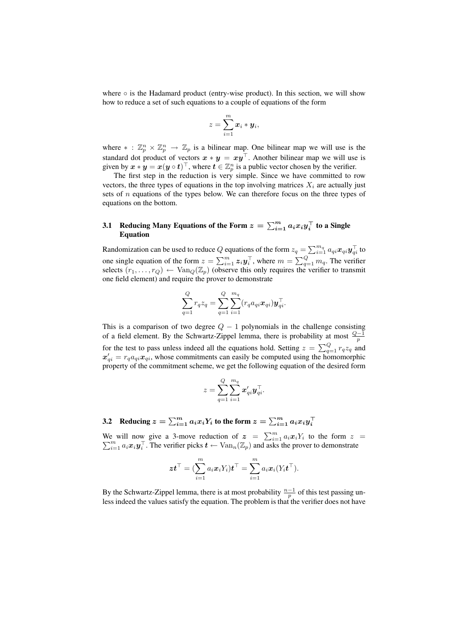where  $\circ$  is the Hadamard product (entry-wise product). In this section, we will show how to reduce a set of such equations to a couple of equations of the form

$$
z=\sum_{i=1}^m x_i*y_i,
$$

where  $*$ :  $\mathbb{Z}_p^n \times \mathbb{Z}_p^n \to \mathbb{Z}_p$  is a bilinear map. One bilinear map we will use is the standard dot product of vectors  $x * y = xy^\top$ . Another bilinear map we will use is given by  $x * y = x(y \circ t)^\top$ , where  $t \in \mathbb{Z}_p^n$  is a public vector chosen by the verifier.

The first step in the reduction is very simple. Since we have committed to row vectors, the three types of equations in the top involving matrices  $X_i$  are actually just sets of  $n$  equations of the types below. We can therefore focus on the three types of equations on the bottom.

# 3.1 Reducing Many Equations of the Form  $z = \sum_{i=1}^m a_i x_i y_i^\top$  to a Single Equation

Randomization can be used to reduce  $Q$  equations of the form  $z_q = \sum_{i=1}^{m_q} a_{qi} x_{qi} y_{qi}^\top$  to one single equation of the form  $z = \sum_{i=1}^{m} z_i y_i^{\top}$ , where  $m = \sum_{q=1}^{Q} m_q$ . The verifier selects  $(r_1, \ldots, r_Q) \leftarrow \text{Van}_Q(\mathbb{Z}_p)$  (observe this only requires the verifier to transmit one field element) and require the prover to demonstrate

$$
\sum_{q=1}^Q r_q z_q = \sum_{q=1}^Q \sum_{i=1}^{m_q} (r_q a_{qi} \boldsymbol{x}_{qi}) \boldsymbol{y}_{qi}^\top.
$$

This is a comparison of two degree  $Q - 1$  polynomials in the challenge consisting of a field element. By the Schwartz-Zippel lemma, there is probability at most  $\frac{Q-1}{p}$ for the test to pass unless indeed all the equations hold. Setting  $z = \sum_{q=1}^{Q} r_q z_q$  and  $x'_{qi} = r_q a_{qi} x_{qi}$ , whose commitments can easily be computed using the homomorphic property of the commitment scheme, we get the following equation of the desired form

$$
z = \sum_{q=1}^Q \sum_{i=1}^{m_q} \bm{x}^{\prime}_{qi} \bm{y}_{qi}^\top.
$$

3.2 Reducing  $z=\sum_{i=1}^m a_i x_i Y_i$  to the form  $z=\sum_{i=1}^m a_i x_i y_i^\top$ 

We will now give a 3-move reduction of  $z = \sum_{i=1}^{m} a_i x_i Y_i$  $\sum$ e will now give a 3-move reduction of  $\mathbf{z} = \sum_{i=1}^{m} a_i x_i Y_i$  to the form  $z = \sum_{i=1}^{m} a_i x_i \mathbf{y}_i^{\top}$ . The verifier picks  $t \leftarrow \text{Van}_n(\mathbb{Z}_p)$  and asks the prover to demonstrate

$$
\boldsymbol{z}\boldsymbol{t}^{\top} = (\sum_{i=1}^{m} a_i \boldsymbol{x}_i Y_i) \boldsymbol{t}^{\top} = \sum_{i=1}^{m} a_i \boldsymbol{x}_i (Y_i \boldsymbol{t}^{\top}).
$$

By the Schwartz-Zippel lemma, there is at most probability  $\frac{n-1}{p}$  of this test passing unless indeed the values satisfy the equation. The problem is that the verifier does not have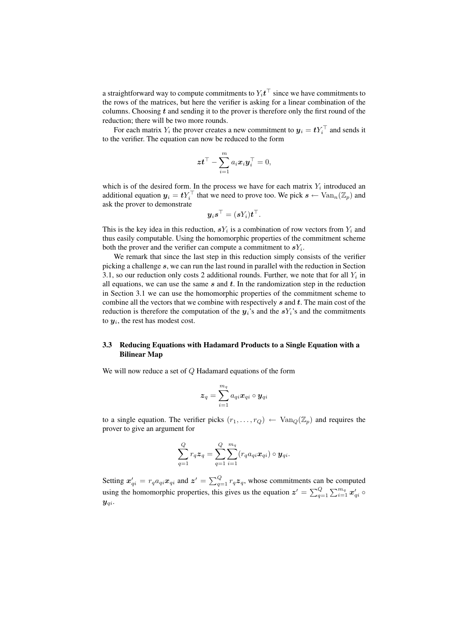a straightforward way to compute commitments to  $Y_i t^\top$  since we have commitments to the rows of the matrices, but here the verifier is asking for a linear combination of the columns. Choosing  $t$  and sending it to the prover is therefore only the first round of the reduction; there will be two more rounds.

For each matrix  $Y_i$  the prover creates a new commitment to  $y_i = tY_i^\top$  and sends it to the verifier. The equation can now be reduced to the form

$$
\boldsymbol{z}\boldsymbol{t}^{\top} - \sum_{i=1}^{m} a_{i}\boldsymbol{x}_{i}\boldsymbol{y}_{i}^{\top} = 0,
$$

which is of the desired form. In the process we have for each matrix  $Y_i$  introduced an additional equation  $y_i = tY_i^\top$  that we need to prove too. We pick  $s \leftarrow \text{Van}_n(\mathbb{Z}_p)$  and ask the prover to demonstrate

$$
\boldsymbol{y}_i \boldsymbol{s}^\top = (\boldsymbol{s} Y_i) \boldsymbol{t}^\top.
$$

This is the key idea in this reduction,  $sY_i$  is a combination of row vectors from  $Y_i$  and thus easily computable. Using the homomorphic properties of the commitment scheme both the prover and the verifier can compute a commitment to  $sY_i$ .

We remark that since the last step in this reduction simply consists of the verifier picking a challenge s, we can run the last round in parallel with the reduction in Section 3.1, so our reduction only costs 2 additional rounds. Further, we note that for all  $Y_i$  in all equations, we can use the same  $s$  and  $t$ . In the randomization step in the reduction in Section 3.1 we can use the homomorphic properties of the commitment scheme to combine all the vectors that we combine with respectively  $s$  and  $t$ . The main cost of the reduction is therefore the computation of the  $y_i$ 's and the  $sY_i$ 's and the commitments to  $y_i$ , the rest has modest cost.

### 3.3 Reducing Equations with Hadamard Products to a Single Equation with a Bilinear Map

We will now reduce a set of Q Hadamard equations of the form

$$
\bm{z}_q = \sum_{i=1}^{m_q} a_{qi} \bm{x}_{qi} \circ \bm{y}_{qi}
$$

to a single equation. The verifier picks  $(r_1, \ldots, r_Q) \leftarrow \text{Van}_Q(\mathbb{Z}_p)$  and requires the prover to give an argument for

$$
\sum_{q=1}^Q r_q \mathbf{z}_q = \sum_{q=1}^Q \sum_{i=1}^{m_q} (r_q a_{qi} \mathbf{x}_{qi}) \circ \mathbf{y}_{qi}.
$$

Setting  $x'_{qi} = r_q a_{qi} x_{qi}$  and  $z' = \sum_{q=1}^{Q} r_q z_q$ , whose commitments can be computed using the homomorphic properties, this gives us the equation  $z' = \sum_{q=1}^{Q} \sum_{i=1}^{m_q} x'_{qi}$  $y_{qi}$ .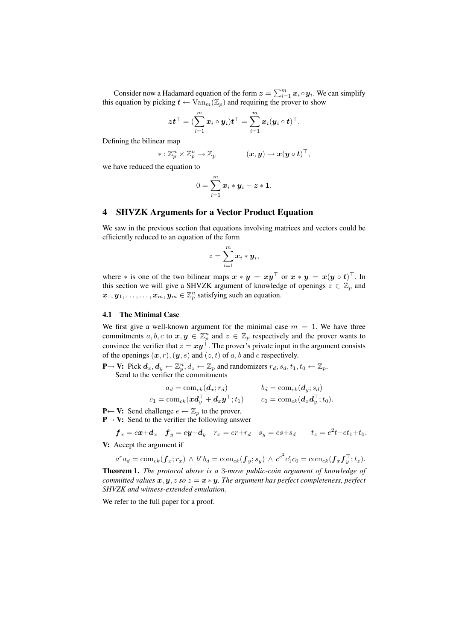Consider now a Hadamard equation of the form  $\boldsymbol{z} = \sum_{i=1}^{m} x_i \circ \boldsymbol{y}_i$ . We can simplify this equation by picking  $t \leftarrow \text{Van}_m(\mathbb{Z}_p)$  and requiring the prover to show

$$
\boldsymbol{z}\boldsymbol{t}^{\top} = (\sum_{i=1}^{m} x_{i} \circ \boldsymbol{y}_{i})\boldsymbol{t}^{\top} = \sum_{i=1}^{m} x_{i} (\boldsymbol{y}_{i} \circ \boldsymbol{t})^{\top}.
$$

Defining the bilinear map

$$
*:\mathbb{Z}_p^n\times\mathbb{Z}_p^n\to\mathbb{Z}_p \hspace{1cm} (x,y)\mapsto x(y\circ t)^\top,
$$

we have reduced the equation to

$$
0=\sum_{i=1}^m x_i*y_i-z*1.
$$

# 4 SHVZK Arguments for a Vector Product Equation

We saw in the previous section that equations involving matrices and vectors could be efficiently reduced to an equation of the form

$$
z = \sum_{i=1}^m x_i * y_i
$$

,

where \* is one of the two bilinear maps  $x * y = xy^\top$  or  $x * y = x(y \circ t)^\top$ . In this section we will give a SHVZK argument of knowledge of openings  $z \in \mathbb{Z}_p$  and  $x_1, y_1, \ldots, \ldots, x_m, y_m \in \mathbb{Z}_p^n$  satisfying such an equation.

### 4.1 The Minimal Case

We first give a well-known argument for the minimal case  $m = 1$ . We have three commitments  $a, b, c$  to  $x, y \in \mathbb{Z}_p^n$  and  $z \in \mathbb{Z}_p$  respectively and the prover wants to convince the verifier that  $z = xy^\top$ . The prover's private input in the argument consists of the openings  $(x, r), (y, s)$  and  $(z, t)$  of a, b and c respectively.

**P** $\rightarrow$  **V:** Pick  $d_x, d_y \leftarrow \mathbb{Z}_p^n, d_z \leftarrow \mathbb{Z}_p$  and randomizers  $r_d, s_d, t_1, t_0 \leftarrow \mathbb{Z}_p$ .

Send to the verifier the commitments

$$
a_d = \text{com}_{ck}(\boldsymbol{d}_x; r_d) \qquad \qquad b_d = \text{com}_{ck}(\boldsymbol{d}_y; s_d) c_1 = \text{com}_{ck}(\boldsymbol{x}\boldsymbol{d}_y^\top + \boldsymbol{d}_x\boldsymbol{y}^\top; t_1) \qquad c_0 = \text{com}_{ck}(\boldsymbol{d}_x\boldsymbol{d}_y^\top; t_0).
$$

**P**← **V:** Send challenge  $e \leftarrow \mathbb{Z}_p$  to the prover.

 $P \rightarrow V$ : Send to the verifier the following answer

$$
\boldsymbol{f}_x = e\boldsymbol{x} + \boldsymbol{d}_x \quad \boldsymbol{f}_y = e\boldsymbol{y} + \boldsymbol{d}_y \quad r_x = er + r_d \quad s_y = es + s_d \quad t_z = e^2t + et_1 + t_0.
$$

V: Accept the argument if

$$
a^e a_d = \text{com}_{ck}(\boldsymbol{f}_x; r_x) \wedge b^e b_d = \text{com}_{ck}(\boldsymbol{f}_y; s_y) \wedge c^{e^2} c_1^e c_0 = \text{com}_{ck}(\boldsymbol{f}_x \boldsymbol{f}_y^\top; t_z).
$$

Theorem 1. *The protocol above is a* 3*-move public-coin argument of knowledge of committed values*  $x, y, z$  *so*  $z = x * y$ *. The argument has perfect completeness, perfect SHVZK and witness-extended emulation.*

We refer to the full paper for a proof.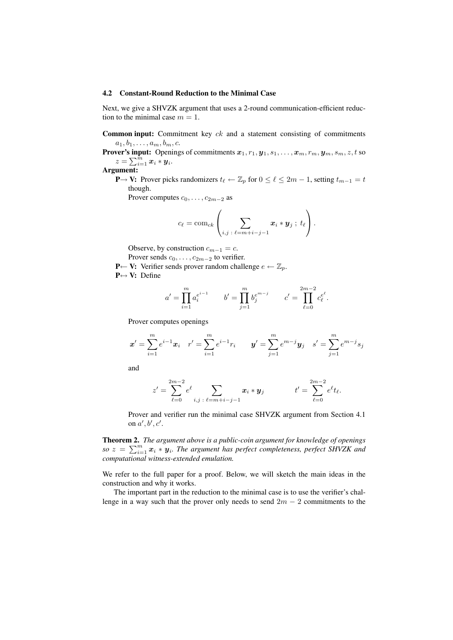#### 4.2 Constant-Round Reduction to the Minimal Case

Next, we give a SHVZK argument that uses a 2-round communication-efficient reduction to the minimal case  $m = 1$ .

**Common input:** Commitment key  $ck$  and a statement consisting of commitments  $a_1, b_1, \ldots, a_m, b_m, c.$ 

**Prover's input:** Openings of commitments  $x_1, r_1, y_1, s_1, \ldots, x_m, r_m, y_m, s_m, z, t$  so  $z=\sum_{i=1}^{\tilde{m}}\boldsymbol{x}_i*\boldsymbol{y}_i.$ 

Argument:

**P**→ **V:** Prover picks randomizers  $t_\ell \leftarrow \mathbb{Z}_p$  for  $0 \leq \ell \leq 2m - 1$ , setting  $t_{m-1} = t$ though.

Prover computes  $c_0, \ldots, c_{2m-2}$  as

$$
c_{\ell} = \text{com}_{ck} \left( \sum_{i,j \; : \; \ell = m+i-j-1} \boldsymbol{x}_i * \boldsymbol{y}_j \; ; \; t_{\ell} \right).
$$

Observe, by construction  $c_{m-1} = c$ .

Prover sends  $c_0, \ldots, c_{2m-2}$  to verifier.

**P**← **V:** Verifier sends prover random challenge  $e \leftarrow \mathbb{Z}_p$ .

 $P \leftrightarrow V:$  Define

$$
a' = \prod_{i=1}^{m} a_i^{e^{i-1}} \qquad b' = \prod_{j=1}^{m} b_j^{e^{m-j}} \qquad c' = \prod_{\ell=0}^{2m-2} c_\ell^{e^\ell}.
$$

Prover computes openings

$$
\mathbf{x}' = \sum_{i=1}^{m} e^{i-1} \mathbf{x}_i \quad r' = \sum_{i=1}^{m} e^{i-1} r_i \qquad \mathbf{y}' = \sum_{j=1}^{m} e^{m-j} \mathbf{y}_j \quad s' = \sum_{j=1}^{m} e^{m-j} s_j
$$

and

$$
z' = \sum_{\ell=0}^{2m-2} e^{\ell} \sum_{i,j \; : \; \ell=m+i-j-1} x_i * y_j \qquad t' = \sum_{\ell=0}^{2m-2} e^{\ell} t_{\ell}.
$$

Prover and verifier run the minimal case SHVZK argument from Section 4.1 on  $a', b', c'$ .

Theorem 2. *The argument above is a public-coin argument for knowledge of openings*  $so\ z=\sum_{i=1}^m\bm{x}_i*\bm{y}_i$ . The argument has perfect completeness, perfect SHVZK and *computational witness-extended emulation.*

We refer to the full paper for a proof. Below, we will sketch the main ideas in the construction and why it works.

The important part in the reduction to the minimal case is to use the verifier's challenge in a way such that the prover only needs to send  $2m - 2$  commitments to the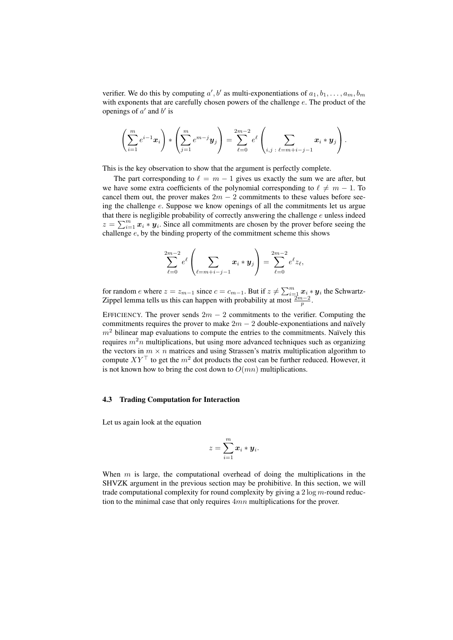verifier. We do this by computing  $a', b'$  as multi-exponentiations of  $a_1, b_1, \ldots, a_m, b_m$ with exponents that are carefully chosen powers of the challenge  $e$ . The product of the openings of  $a'$  and  $b'$  is

$$
\left(\sum_{i=1}^m e^{i-1}x_i\right)*\left(\sum_{j=1}^m e^{m-j}y_j\right) = \sum_{\ell=0}^{2m-2} e^{\ell} \left(\sum_{i,j\;:\; \ell=m+i-j-1} x_i*y_j\right).
$$

This is the key observation to show that the argument is perfectly complete.

The part corresponding to  $\ell = m - 1$  gives us exactly the sum we are after, but we have some extra coefficients of the polynomial corresponding to  $\ell \neq m - 1$ . To cancel them out, the prover makes  $2m - 2$  commitments to these values before seeing the challenge  $e$ . Suppose we know openings of all the commitments let us argue that there is negligible probability of correctly answering the challenge  $e$  unless indeed  $z = \sum_{i=1}^{m} x_i * y_i$ . Since all commitments are chosen by the prover before seeing the challenge  $e$ , by the binding property of the commitment scheme this shows

$$
\sum_{\ell=0}^{2m-2} e^{\ell} \left( \sum_{\ell=m+i-j-1} x_i * y_j \right) = \sum_{\ell=0}^{2m-2} e^{\ell} z_{\ell},
$$

for random e where  $z = z_{m-1}$  since  $c = c_{m-1}$ . But if  $z \neq \sum_{i=1}^{m} x_i * y_i$  the Schwartz-Zippel lemma tells us this can happen with probability at most  $\frac{2m-2}{p}$ .

EFFICIENCY. The prover sends  $2m - 2$  commitments to the verifier. Computing the commitments requires the prover to make  $2m - 2$  double-exponentiations and naïvely  $m<sup>2</sup>$  bilinear map evaluations to compute the entries to the commitments. Naïvely this requires  $m<sup>2</sup>n$  multiplications, but using more advanced techniques such as organizing the vectors in  $m \times n$  matrices and using Strassen's matrix multiplication algorithm to compute  $XY^{\top}$  to get the  $m^2$  dot products the cost can be further reduced. However, it is not known how to bring the cost down to  $O(mn)$  multiplications.

### 4.3 Trading Computation for Interaction

Let us again look at the equation

$$
z=\sum_{i=1}^m x_i*y_i.
$$

When  $m$  is large, the computational overhead of doing the multiplications in the SHVZK argument in the previous section may be prohibitive. In this section, we will trade computational complexity for round complexity by giving a  $2 \log m$ -round reduction to the minimal case that only requires  $4mn$  multiplications for the prover.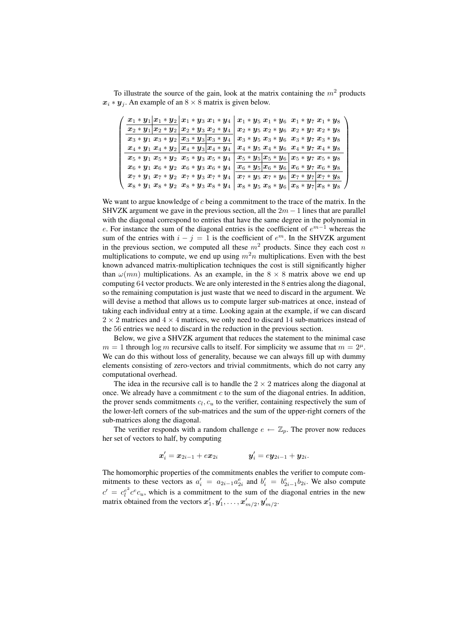To illustrate the source of the gain, look at the matrix containing the  $m<sup>2</sup>$  products  $x_i * y_j$ . An example of an  $8 \times 8$  matrix is given below.

| $x_1 * y_1   x_1 * y_2   x_1 * y_3 x_1 * y_4$ |                                               | $x_1 * y_5 x_1 * y_6 x_1 * y_7 x_1 * y_8$     |  |
|-----------------------------------------------|-----------------------------------------------|-----------------------------------------------|--|
|                                               |                                               | $x_2 * y_5 x_2 * y_6 x_2 * y_7 x_2 * y_8$     |  |
|                                               | $x_3 * y_1 x_3 * y_2 x_3 * y_3 x_3 * y_4$     | $x_3 * y_5 x_3 * y_6 x_3 * y_7 x_3 * y_8$     |  |
|                                               | $x_4 * y_1 x_4 * y_2   x_4 * y_3   x_4 * y_4$ | $x_4 * y_5 x_4 * y_6 x_4 * y_7 x_4 * y_8$     |  |
|                                               | $x_5 * y_1 x_5 * y_2 x_5 * y_3 x_5 * y_4$     | $x_5 * y_5   x_5 * y_6   x_5 * y_7 x_5 * y_8$ |  |
|                                               | $x_6 * y_1 x_6 * y_2 x_6 * y_3 x_6 * y_4$     | $x_6 * y_5   x_6 * y_6   x_6 * y_7 x_6 * y_8$ |  |
|                                               | $x_7 * y_1 x_7 * y_2 x_7 * y_3 x_7 * y_4$     | $x_7 * y_5 x_7 * y_6   x_7 * y_7   x_7 * y_8$ |  |
| $x_8 * y_1 x_8 * y_2 x_8 * y_3 x_8 * y_4$     |                                               | $x_8 * y_5 x_8 * y_6 x_8 * y_7 x_8 * y_8$     |  |

We want to argue knowledge of  $c$  being a commitment to the trace of the matrix. In the SHVZK argument we gave in the previous section, all the  $2m - 1$  lines that are parallel with the diagonal correspond to entries that have the same degree in the polynomial in e. For instance the sum of the diagonal entries is the coefficient of  $e^{m-1}$  whereas the sum of the entries with  $i - j = 1$  is the coefficient of  $e^m$ . In the SHVZK argument in the previous section, we computed all these  $m^2$  products. Since they each cost n multiplications to compute, we end up using  $m<sup>2</sup>n$  multiplications. Even with the best known advanced matrix-multiplication techniques the cost is still significantly higher than  $\omega(mn)$  multiplications. As an example, in the 8  $\times$  8 matrix above we end up computing 64 vector products. We are only interested in the 8 entries along the diagonal, so the remaining computation is just waste that we need to discard in the argument. We will devise a method that allows us to compute larger sub-matrices at once, instead of taking each individual entry at a time. Looking again at the example, if we can discard  $2 \times 2$  matrices and  $4 \times 4$  matrices, we only need to discard 14 sub-matrices instead of the 56 entries we need to discard in the reduction in the previous section.

Below, we give a SHVZK argument that reduces the statement to the minimal case  $m = 1$  through log m recursive calls to itself. For simplicity we assume that  $m = 2^{\mu}$ . We can do this without loss of generality, because we can always fill up with dummy elements consisting of zero-vectors and trivial commitments, which do not carry any computational overhead.

The idea in the recursive call is to handle the  $2 \times 2$  matrices along the diagonal at once. We already have a commitment  $c$  to the sum of the diagonal entries. In addition, the prover sends commitments  $c_l, c_u$  to the verifier, containing respectively the sum of the lower-left corners of the sub-matrices and the sum of the upper-right corners of the sub-matrices along the diagonal.

The verifier responds with a random challenge  $e \leftarrow \mathbb{Z}_p$ . The prover now reduces her set of vectors to half, by computing

$$
\boldsymbol{x}_i^\prime = \boldsymbol{x}_{2i-1} + e \boldsymbol{x}_{2i} \qquad \qquad \boldsymbol{y}_i^\prime = e \boldsymbol{y}_{2i-1} + \boldsymbol{y}_{2i}.
$$

The homomorphic properties of the commitments enables the verifier to compute commitments to these vectors as  $a'_i = a_{2i-1}a_{2i}^e$  and  $b'_i = b_{2i-1}^e b_{2i}$ . We also compute  $c' = c_l^{e^2} c^e c_u$ , which is a commitment to the sum of the diagonal entries in the new matrix obtained from the vectors  $x'_1, y'_1, \ldots, x'_{m/2}, y'_{m/2}$ .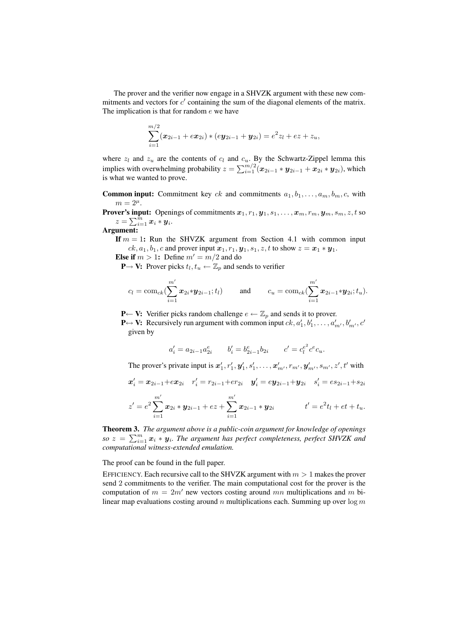The prover and the verifier now engage in a SHVZK argument with these new commitments and vectors for  $c'$  containing the sum of the diagonal elements of the matrix. The implication is that for random  $e$  we have

$$
\sum_{i=1}^{m/2} (\boldsymbol{x}_{2i-1} + e \boldsymbol{x}_{2i}) * (e \boldsymbol{y}_{2i-1} + \boldsymbol{y}_{2i}) = e^2 z_l + e z + z_u,
$$

where  $z_l$  and  $z_u$  are the contents of  $c_l$  and  $c_u$ . By the Schwartz-Zippel lemma this implies with overwhelming probability  $z = \sum_{i=1}^{m/2} (\boldsymbol{x}_{2i-1} * \boldsymbol{y}_{2i-1} + \boldsymbol{x}_{2i} * \boldsymbol{y}_{2i}),$  which is what we wanted to prove.

**Common input:** Commitment key ck and commitments  $a_1, b_1, \ldots, a_m, b_m, c$ , with  $m=2^{\mu}$ .

**Prover's input:** Openings of commitments  $x_1, r_1, y_1, s_1, \ldots, x_m, r_m, y_m, s_m, z, t$  so  $z=\sum_{i=1}^{\tilde{m}}\boldsymbol{x}_i*\boldsymbol{y}_i.$ 

Argument:

If  $m = 1$ : Run the SHVZK argument from Section 4.1 with common input  $ck, a_1, b_1, c$  and prover input  $x_1, r_1, y_1, s_1, z, t$  to show  $z = x_1 * y_1$ .

Else if  $m > 1$ : Define  $m' = m/2$  and do

**P** $\rightarrow$  **V:** Prover picks  $t_l, t_u \leftarrow \mathbb{Z}_p$  and sends to verifier

$$
c_l = \text{com}_{ck}(\sum_{i=1}^{m'} x_{2i} * y_{2i-1}; t_l)
$$
 and  $c_u = \text{com}_{ck}(\sum_{i=1}^{m'} x_{2i-1} * y_{2i}; t_u).$ 

**P**← **V:** Verifier picks random challenge  $e \leftarrow \mathbb{Z}_p$  and sends it to prover.

**P** $\leftrightarrow$  **V:** Recursively run argument with common input  $ck$ ,  $a'_1$ ,  $b'_1$ , ...,  $a'_{m'}$ ,  $b'_{m'}$ ,  $c'$ given by

$$
a'_i = a_{2i-1}a_{2i}^e \qquad b'_i = b_{2i-1}^e b_{2i} \qquad c' = c_i^{e^2} c^e c_u.
$$

The prover's private input is  $x'_1, r'_1, y'_1, s'_1, \ldots, x'_{m'}, r_{m'}, y'_{m'}, s_{m'}, z', t'$  with

$$
\mathbf{x}'_i = \mathbf{x}_{2i-1} + e \mathbf{x}_{2i} \quad r'_i = r_{2i-1} + e r_{2i} \quad \mathbf{y}'_i = e \mathbf{y}_{2i-1} + \mathbf{y}_{2i} \quad s'_i = e s_{2i-1} + s_{2i}
$$

$$
z' = e^2 \sum_{i=1}^{m'} \boldsymbol{x}_{2i} * \boldsymbol{y}_{2i-1} + ez + \sum_{i=1}^{m'} \boldsymbol{x}_{2i-1} * \boldsymbol{y}_{2i} \qquad t' = e^2 t_l + et + t_u.
$$

Theorem 3. *The argument above is a public-coin argument for knowledge of openings*  $so\ z=\sum_{i=1}^m\bm{x}_i*\bm{y}_i$ . The argument has perfect completeness, perfect SHVZK and *computational witness-extended emulation.*

The proof can be found in the full paper.

EFFICIENCY. Each recursive call to the SHVZK argument with  $m > 1$  makes the prover send 2 commitments to the verifier. The main computational cost for the prover is the computation of  $m = 2m'$  new vectors costing around mn multiplications and m bilinear map evaluations costing around n multiplications each. Summing up over  $\log m$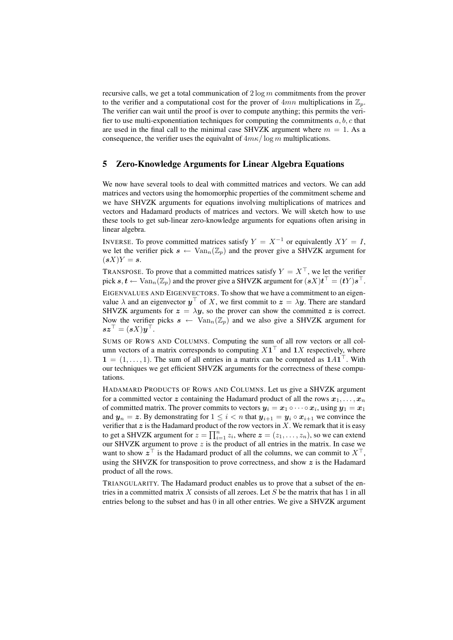recursive calls, we get a total communication of  $2 \log m$  commitments from the prover to the verifier and a computational cost for the prover of  $4mn$  multiplications in  $\mathbb{Z}_p$ . The verifier can wait until the proof is over to compute anything; this permits the verifier to use multi-exponentiation techniques for computing the commitments  $a, b, c$  that are used in the final call to the minimal case SHVZK argument where  $m = 1$ . As a consequence, the verifier uses the equivalnt of  $4m\kappa/\log m$  multiplications.

## 5 Zero-Knowledge Arguments for Linear Algebra Equations

We now have several tools to deal with committed matrices and vectors. We can add matrices and vectors using the homomorphic properties of the commitment scheme and we have SHVZK arguments for equations involving multiplications of matrices and vectors and Hadamard products of matrices and vectors. We will sketch how to use these tools to get sub-linear zero-knowledge arguments for equations often arising in linear algebra.

INVERSE. To prove committed matrices satisfy  $Y = X^{-1}$  or equivalently  $XY = I$ , we let the verifier pick  $s \leftarrow \text{Van}_n(\mathbb{Z}_n)$  and the prover give a SHVZK argument for  $(sX)Y = s.$ 

TRANSPOSE. To prove that a committed matrices satisfy  $Y = X^{\top}$ , we let the verifier pick  $s,t \leftarrow \text{Van}_n(\mathbb{Z}_p)$  and the prover give a SHVZK argument for  $(sX)t^\top = (tY)s^\top.$ 

EIGENVALUES AND EIGENVECTORS. To show that we have a commitment to an eigenvalue  $\lambda$  and an eigenvector  $y^{\top}$  of X, we first commit to  $z = \lambda y$ . There are standard SHVZK arguments for  $z = \lambda y$ , so the prover can show the committed z is correct. Now the verifier picks  $s \leftarrow \text{Van}_n(\mathbb{Z}_p)$  and we also give a SHVZK argument for  $\boldsymbol{s}\boldsymbol{z}^\top = (\boldsymbol{s} X) \boldsymbol{y}^\top.$ 

SUMS OF ROWS AND COLUMNS. Computing the sum of all row vectors or all column vectors of a matrix corresponds to computing  $X1<sup>T</sup>$  and  $1X$  respectively, where  $1 = (1, \ldots, 1)$ . The sum of all entries in a matrix can be computed as  $1A1^{\top}$ . With our techniques we get efficient SHVZK arguments for the correctness of these computations.

HADAMARD PRODUCTS OF ROWS AND COLUMNS. Let us give a SHVZK argument for a committed vector z containing the Hadamard product of all the rows  $x_1, \ldots, x_n$ of committed matrix. The prover commits to vectors  $\bm{y}_i = \bm{x}_1 \circ \cdots \circ \bm{x}_i$ , using  $\bm{y}_1 = \bm{x}_1$ and  $y_n = z$ . By demonstrating for  $1 \leq i < n$  that  $y_{i+1} = y_i \circ x_{i+1}$  we convince the verifier that  $z$  is the Hadamard product of the row vectors in  $X$ . We remark that it is easy to get a SHVZK argument for  $z = \prod_{i=1}^{n} z_i$ , where  $z = (z_1, \ldots, z_n)$ , so we can extend our SHVZK argument to prove  $z$  is the product of all entries in the matrix. In case we want to show  $z^{\top}$  is the Hadamard product of all the columns, we can commit to  $X^{\top}$ , using the SHVZK for transposition to prove correctness, and show  $z$  is the Hadamard product of all the rows.

TRIANGULARITY. The Hadamard product enables us to prove that a subset of the entries in a committed matrix X consists of all zeroes. Let  $S$  be the matrix that has 1 in all entries belong to the subset and has 0 in all other entries. We give a SHVZK argument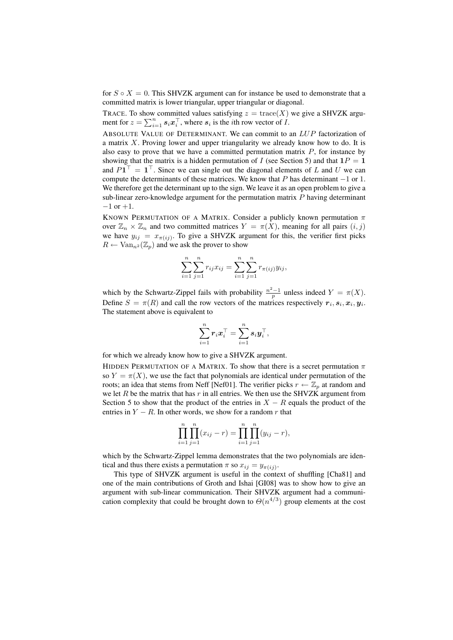for  $S \circ X = 0$ . This SHVZK argument can for instance be used to demonstrate that a committed matrix is lower triangular, upper triangular or diagonal.

TRACE. To show committed values satisfying  $z = \text{trace}(X)$  we give a SHVZK argument for  $z = \sum_{i=1}^{n} s_i x_i^{\top}$ , where  $s_i$  is the *i*th row vector of *I*.

ABSOLUTE VALUE OF DETERMINANT. We can commit to an LUP factorization of a matrix X. Proving lower and upper triangularity we already know how to do. It is also easy to prove that we have a committed permutation matrix  $P$ , for instance by showing that the matrix is a hidden permutation of I (see Section 5) and that  $1P = 1$ and  $P1^{\top} = 1^{\top}$ . Since we can single out the diagonal elements of L and U we can compute the determinants of these matrices. We know that P has determinant  $-1$  or 1. We therefore get the determinant up to the sign. We leave it as an open problem to give a sub-linear zero-knowledge argument for the permutation matrix  $P$  having determinant  $-1$  or  $+1$ .

KNOWN PERMUTATION OF A MATRIX. Consider a publicly known permutation  $\pi$ over  $\mathbb{Z}_n \times \mathbb{Z}_n$  and two committed matrices  $Y = \pi(X)$ , meaning for all pairs  $(i, j)$ we have  $y_{ij} = x_{\pi(ij)}$ . To give a SHVZK argument for this, the verifier first picks  $R \leftarrow \text{Van}_{n^2}(\mathbb{Z}_p)$  and we ask the prover to show

$$
\sum_{i=1}^{n} \sum_{j=1}^{n} r_{ij} x_{ij} = \sum_{i=1}^{n} \sum_{j=1}^{n} r_{\pi(ij)} y_{ij},
$$

which by the Schwartz-Zippel fails with probability  $\frac{n^2-1}{p}$  unless indeed  $Y = \pi(X)$ . Define  $S = \pi(R)$  and call the row vectors of the matrices respectively  $r_i, s_i, x_i, y_i$ . The statement above is equivalent to

$$
\sum_{i=1}^n \boldsymbol{r}_i \boldsymbol{x}_i^\top = \sum_{i=1}^n \boldsymbol{s}_i \boldsymbol{y}_i^\top,
$$

for which we already know how to give a SHVZK argument.

HIDDEN PERMUTATION OF A MATRIX. To show that there is a secret permutation  $\pi$ so  $Y = \pi(X)$ , we use the fact that polynomials are identical under permutation of the roots; an idea that stems from Neff [Nef01]. The verifier picks  $r \leftarrow \mathbb{Z}_p$  at random and we let  $R$  be the matrix that has  $r$  in all entries. We then use the SHVZK argument from Section 5 to show that the product of the entries in  $X - R$  equals the product of the entries in  $Y - R$ . In other words, we show for a random r that

$$
\prod_{i=1}^{n} \prod_{j=1}^{n} (x_{ij} - r) = \prod_{i=1}^{n} \prod_{j=1}^{n} (y_{ij} - r),
$$

which by the Schwartz-Zippel lemma demonstrates that the two polynomials are identical and thus there exists a permutation  $\pi$  so  $x_{ij} = y_{\pi(ij)}$ .

This type of SHVZK argument is useful in the context of shuffling [Cha81] and one of the main contributions of Groth and Ishai [GI08] was to show how to give an argument with sub-linear communication. Their SHVZK argument had a communication complexity that could be brought down to  $\Theta(n^{4/3})$  group elements at the cost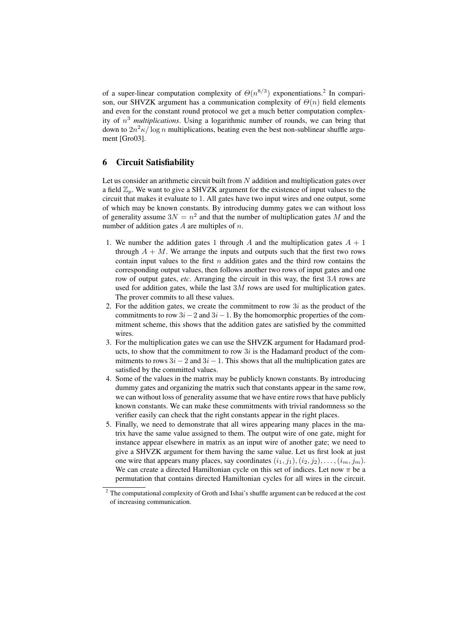of a super-linear computation complexity of  $\Theta(n^{8/3})$  exponentiations.<sup>2</sup> In comparison, our SHVZK argument has a communication complexity of  $\Theta(n)$  field elements and even for the constant round protocol we get a much better computation complexity of n <sup>3</sup> *multiplications*. Using a logarithmic number of rounds, we can bring that down to  $2n^2\kappa/\log n$  multiplications, beating even the best non-sublinear shuffle argument [Gro03].

# 6 Circuit Satisfiability

Let us consider an arithmetic circuit built from N addition and multiplication gates over a field  $\mathbb{Z}_n$ . We want to give a SHVZK argument for the existence of input values to the circuit that makes it evaluate to 1. All gates have two input wires and one output, some of which may be known constants. By introducing dummy gates we can without loss of generality assume  $3N = n^2$  and that the number of multiplication gates M and the number of addition gates  $A$  are multiples of  $n$ .

- 1. We number the addition gates 1 through A and the multiplication gates  $A + 1$ through  $A + M$ . We arrange the inputs and outputs such that the first two rows contain input values to the first  $n$  addition gates and the third row contains the corresponding output values, then follows another two rows of input gates and one row of output gates, *etc*. Arranging the circuit in this way, the first 3A rows are used for addition gates, while the last  $3M$  rows are used for multiplication gates. The prover commits to all these values.
- 2. For the addition gates, we create the commitment to row  $3i$  as the product of the commitments to row  $3i-2$  and  $3i-1$ . By the homomorphic properties of the commitment scheme, this shows that the addition gates are satisfied by the committed wires.
- 3. For the multiplication gates we can use the SHVZK argument for Hadamard products, to show that the commitment to row  $3i$  is the Hadamard product of the commitments to rows  $3i - 2$  and  $3i - 1$ . This shows that all the multiplication gates are satisfied by the committed values.
- 4. Some of the values in the matrix may be publicly known constants. By introducing dummy gates and organizing the matrix such that constants appear in the same row, we can without loss of generality assume that we have entire rows that have publicly known constants. We can make these commitments with trivial randomness so the verifier easily can check that the right constants appear in the right places.
- 5. Finally, we need to demonstrate that all wires appearing many places in the matrix have the same value assigned to them. The output wire of one gate, might for instance appear elsewhere in matrix as an input wire of another gate; we need to give a SHVZK argument for them having the same value. Let us first look at just one wire that appears many places, say coordinates  $(i_1, j_1), (i_2, j_2), \ldots, (i_m, j_m)$ . We can create a directed Hamiltonian cycle on this set of indices. Let now  $\pi$  be a permutation that contains directed Hamiltonian cycles for all wires in the circuit.

<sup>&</sup>lt;sup>2</sup> The computational complexity of Groth and Ishai's shuffle argument can be reduced at the cost of increasing communication.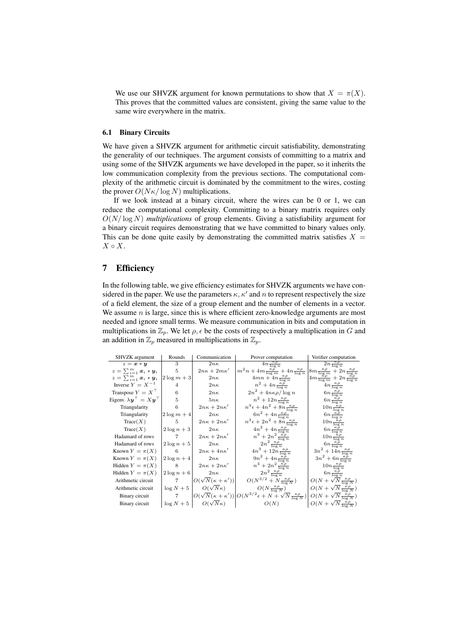We use our SHVZK argument for known permutations to show that  $X = \pi(X)$ . This proves that the committed values are consistent, giving the same value to the same wire everywhere in the matrix.

### 6.1 Binary Circuits

We have given a SHVZK argument for arithmetic circuit satisfiability, demonstrating the generality of our techniques. The argument consists of committing to a matrix and using some of the SHVZK arguments we have developed in the paper, so it inherits the low communication complexity from the previous sections. The computational complexity of the arithmetic circuit is dominated by the commitment to the wires, costing the prover  $O(N\kappa/\log N)$  multiplications.

If we look instead at a binary circuit, where the wires can be 0 or 1, we can reduce the computational complexity. Committing to a binary matrix requires only O(N/ log N) *multiplications* of group elements. Giving a satisfiability argument for a binary circuit requires demonstrating that we have committed to binary values only. This can be done quite easily by demonstrating the committed matrix satisfies  $X =$  $X \circ X$ .

### 7 Efficiency

In the following table, we give efficiency estimates for SHVZK arguments we have considered in the paper. We use the parameters  $\kappa$ ,  $\kappa'$  and n to represent respectively the size of a field element, the size of a group element and the number of elements in a vector. We assume  $n$  is large, since this is where efficient zero-knowledge arguments are most needed and ignore small terms. We measure communication in bits and computation in multiplications in  $\mathbb{Z}_p$ . We let  $\rho, \epsilon$  be the costs of respectively a multiplication in G and an addition in  $\mathbb{Z}_p$  measured in multiplications in  $\mathbb{Z}_p$ .

| SHVZK argument                                            | Rounds         | Communication                              | Prover computation                                                                               | Verifier computation                                            |
|-----------------------------------------------------------|----------------|--------------------------------------------|--------------------------------------------------------------------------------------------------|-----------------------------------------------------------------|
| $z = x * y$                                               | 3              | $2n\kappa$                                 | $4n \frac{\kappa \rho}{\log n}$                                                                  | $2n \frac{\kappa \rho}{\log n}$                                 |
| $z = \sum_{i=1}^m x_i * y_i$                              | $\overline{5}$ | $2n\kappa + 2m\kappa'$                     | $m^2n+4m\frac{\kappa\rho}{\log m}+4n\frac{\kappa\rho}{\log n}$                                   | $8m \frac{\kappa \rho}{\log m} + 2n \frac{\kappa \rho}{\log n}$ |
| $z = \sum_{i=1}^m x_i * y_i$                              | $2\log m + 3$  | $2n\kappa$                                 | $4mn + 4n \frac{\kappa \rho}{\log n}$                                                            | $4m \frac{\kappa \rho}{\log m} + 2n \frac{\kappa \rho}{\log n}$ |
| Inverse $Y = X^{-1}$                                      | 4              | $2n\kappa$                                 | $n^2+4n\frac{\kappa\rho}{\log n}$                                                                | $4n \frac{\kappa \rho}{\log n}$                                 |
| Transpose $Y = X^{\top}$                                  | 6              | $2n\kappa$                                 | $2n^2 + 4n\kappa\rho/\log n$                                                                     | $6n \frac{\kappa \rho}{\log n}$                                 |
| Eigenv. $\lambda \mathbf{y}^{\top} = X \mathbf{y}^{\top}$ | 5              | $5n\kappa$                                 | $n^2+12n\frac{\kappa\rho}{\log n}$                                                               | $6n \frac{\kappa \rho}{\log n}$                                 |
| Triangularity                                             | 6              | $2n\kappa + 2n\kappa'$                     | $n^3\epsilon + 4n^2 + 8n \frac{\kappa \rho}{\log n}$                                             | $10n \frac{\kappa \rho}{\log n}$                                |
| Triangularity                                             | $2\log m + 4$  | $2n\kappa$                                 | $6n^2 + 4n \frac{\kappa \rho}{\log n}$                                                           | $6n \frac{\kappa \rho}{\log n}$                                 |
| Trace(X)                                                  | $\overline{5}$ | $2n\kappa + 2n\kappa'$                     | $n^3\epsilon + 2n^2 + 8n \frac{\kappa \rho}{\log n}$                                             | $10n \frac{\kappa \rho}{\log n}$                                |
| Trace(X)                                                  | $2\log n + 3$  | $2n\kappa$                                 | $4n^2+4n\frac{\kappa\rho}{\log n}$                                                               | $6n \frac{\kappa \rho}{\log n}$                                 |
| Hadamard of rows                                          | 7              | $2n\kappa + 2n\kappa'$                     | $n^3+2n^2\frac{\kappa\rho}{\log n}$                                                              | $10n \frac{\kappa \rho}{\log n}$                                |
| Hadamard of rows                                          | $2\log n + 5$  | $2n\kappa$                                 | $2n^2 \frac{\kappa \rho}{\log n}$                                                                | $6n \frac{\kappa \bar{\rho}}{\log n}$                           |
| Known $Y = \pi(X)$                                        | - 6            | $2n\kappa + 4n\kappa'$                     | $4n^3+12n\frac{\kappa\rho}{\log n}$                                                              | $3n^2 + 14n \frac{\kappa \rho}{\log n}$                         |
| Known $Y = \pi(X)$                                        | $2\log n + 4$  | $2n\kappa$                                 | $9n^2 + 4n \frac{\kappa \rho}{\log n}$                                                           | $3n^2 + 6n \frac{\kappa \rho}{\log n}$                          |
| Hidden $Y = \pi(X)$                                       | 8              | $2n\kappa + 2n\kappa'$                     | $n^3+2n^2\frac{\kappa\rho}{\log n}$                                                              | $10n \frac{\kappa \rho}{\log n}$                                |
| Hidden $Y = \pi(X)$                                       | $2\log n + 6$  | $2n\kappa$                                 | $2n^2 \frac{\kappa \rho}{\log n}$                                                                | $6n \frac{\kappa \bar{\rho}}{\log n}$                           |
| Arithmetic circuit                                        | $\overline{7}$ | $O(\sqrt{N(\kappa+\kappa'))}$              | $O(N^{3/2} + N \frac{\kappa \rho}{\log N})$                                                      | $O(N + \sqrt{N} \frac{\kappa \rho}{\log N})$                    |
| Arithmetic circuit                                        | $\log N + 5$   | $O(\sqrt{N}\kappa)$                        | $O(N \frac{\kappa \rho}{\log N})$                                                                | $O(N + \sqrt{N} \frac{\kappa \rho}{\log N})$                    |
| Binary circuit                                            | 7              |                                            | $\left O(\sqrt{N}(\kappa+\kappa'))\right O(N^{3/2}\epsilon+N+\sqrt{N}\frac{\kappa\rho}{\log N})$ | $O(N + \sqrt{N} \frac{\kappa \rho}{\log N})$                    |
| Binary circuit                                            |                | $\vert \log N + 5 \vert O(\sqrt{N}\kappa)$ | O(N)                                                                                             | $O(N + \sqrt{N} \frac{\kappa \rho}{\log N})$                    |
|                                                           |                |                                            |                                                                                                  |                                                                 |